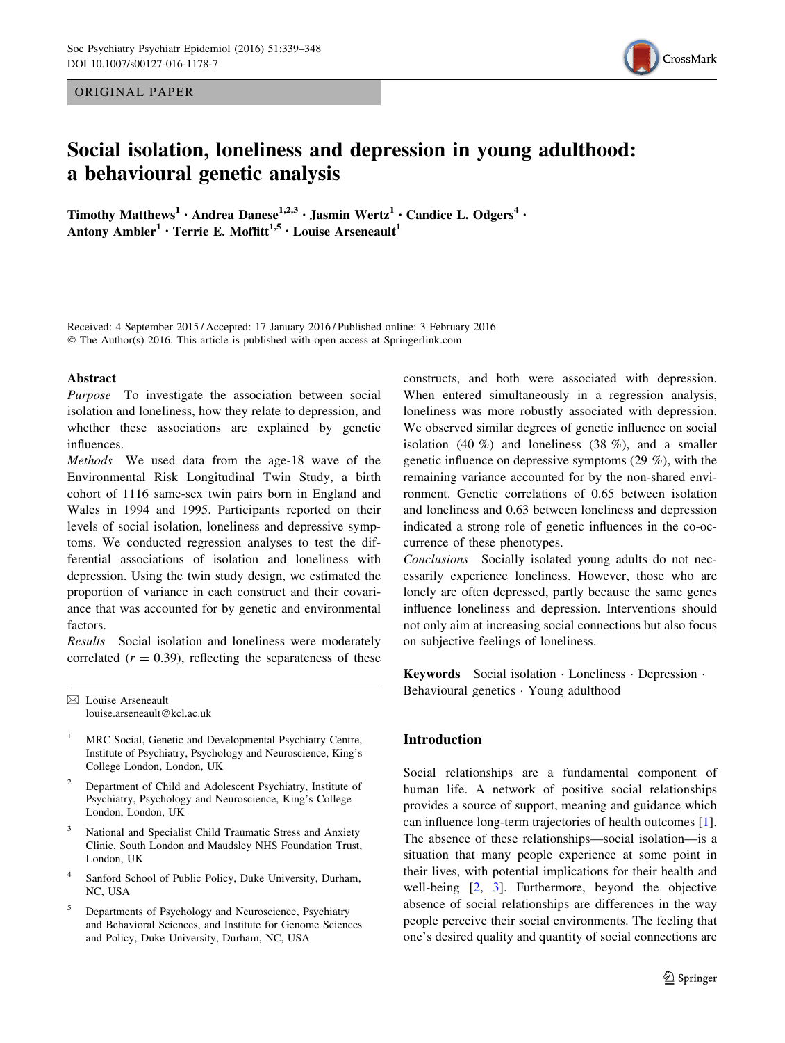ORIGINAL PAPER



# Social isolation, loneliness and depression in young adulthood: a behavioural genetic analysis

Timothy Matthews<sup>1</sup> · Andrea Danese<sup>1,2,3</sup> · Jasmin Wertz<sup>1</sup> · Candice L. Odgers<sup>4</sup> · Antony Ambler<sup>1</sup> · Terrie E. Moffitt<sup>1,5</sup> · Louise Arseneault<sup>1</sup>

Received: 4 September 2015 / Accepted: 17 January 2016 / Published online: 3 February 2016 © The Author(s) 2016. This article is published with open access at Springerlink.com

#### Abstract

Purpose To investigate the association between social isolation and loneliness, how they relate to depression, and whether these associations are explained by genetic influences.

Methods We used data from the age-18 wave of the Environmental Risk Longitudinal Twin Study, a birth cohort of 1116 same-sex twin pairs born in England and Wales in 1994 and 1995. Participants reported on their levels of social isolation, loneliness and depressive symptoms. We conducted regression analyses to test the differential associations of isolation and loneliness with depression. Using the twin study design, we estimated the proportion of variance in each construct and their covariance that was accounted for by genetic and environmental factors.

Results Social isolation and loneliness were moderately correlated  $(r = 0.39)$ , reflecting the separateness of these

 $\boxtimes$  Louise Arseneault louise.arseneault@kcl.ac.uk

- MRC Social, Genetic and Developmental Psychiatry Centre, Institute of Psychiatry, Psychology and Neuroscience, King's College London, London, UK
- <sup>2</sup> Department of Child and Adolescent Psychiatry, Institute of Psychiatry, Psychology and Neuroscience, King's College London, London, UK
- National and Specialist Child Traumatic Stress and Anxiety Clinic, South London and Maudsley NHS Foundation Trust, London, UK
- Sanford School of Public Policy, Duke University, Durham, NC, USA
- <sup>5</sup> Departments of Psychology and Neuroscience, Psychiatry and Behavioral Sciences, and Institute for Genome Sciences and Policy, Duke University, Durham, NC, USA

constructs, and both were associated with depression. When entered simultaneously in a regression analysis, loneliness was more robustly associated with depression. We observed similar degrees of genetic influence on social isolation  $(40 \%)$  and loneliness  $(38 \%)$ , and a smaller genetic influence on depressive symptoms (29 %), with the remaining variance accounted for by the non-shared environment. Genetic correlations of 0.65 between isolation and loneliness and 0.63 between loneliness and depression indicated a strong role of genetic influences in the co-occurrence of these phenotypes.

Conclusions Socially isolated young adults do not necessarily experience loneliness. However, those who are lonely are often depressed, partly because the same genes influence loneliness and depression. Interventions should not only aim at increasing social connections but also focus on subjective feelings of loneliness.

Keywords Social isolation - Loneliness - Depression - Behavioural genetics - Young adulthood

#### Introduction

Social relationships are a fundamental component of human life. A network of positive social relationships provides a source of support, meaning and guidance which can influence long-term trajectories of health outcomes [\[1](#page-7-0)]. The absence of these relationships—social isolation—is a situation that many people experience at some point in their lives, with potential implications for their health and well-being [\[2](#page-7-0), [3\]](#page-7-0). Furthermore, beyond the objective absence of social relationships are differences in the way people perceive their social environments. The feeling that one's desired quality and quantity of social connections are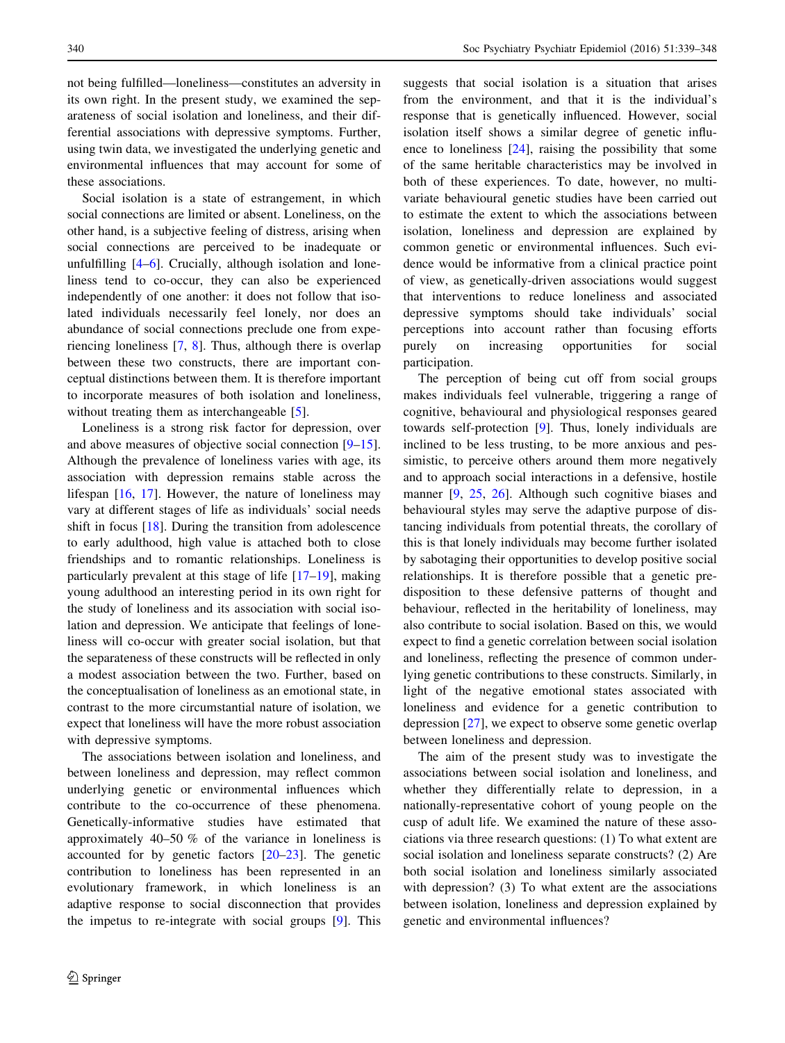not being fulfilled—loneliness—constitutes an adversity in its own right. In the present study, we examined the separateness of social isolation and loneliness, and their differential associations with depressive symptoms. Further, using twin data, we investigated the underlying genetic and environmental influences that may account for some of these associations.

Social isolation is a state of estrangement, in which social connections are limited or absent. Loneliness, on the other hand, is a subjective feeling of distress, arising when social connections are perceived to be inadequate or unfulfilling [\[4–6](#page-7-0)]. Crucially, although isolation and loneliness tend to co-occur, they can also be experienced independently of one another: it does not follow that isolated individuals necessarily feel lonely, nor does an abundance of social connections preclude one from experiencing loneliness [[7,](#page-8-0) [8\]](#page-8-0). Thus, although there is overlap between these two constructs, there are important conceptual distinctions between them. It is therefore important to incorporate measures of both isolation and loneliness, without treating them as interchangeable [\[5](#page-7-0)].

Loneliness is a strong risk factor for depression, over and above measures of objective social connection [\[9–15](#page-8-0)]. Although the prevalence of loneliness varies with age, its association with depression remains stable across the lifespan [\[16](#page-8-0), [17\]](#page-8-0). However, the nature of loneliness may vary at different stages of life as individuals' social needs shift in focus [\[18](#page-8-0)]. During the transition from adolescence to early adulthood, high value is attached both to close friendships and to romantic relationships. Loneliness is particularly prevalent at this stage of life [[17–19\]](#page-8-0), making young adulthood an interesting period in its own right for the study of loneliness and its association with social isolation and depression. We anticipate that feelings of loneliness will co-occur with greater social isolation, but that the separateness of these constructs will be reflected in only a modest association between the two. Further, based on the conceptualisation of loneliness as an emotional state, in contrast to the more circumstantial nature of isolation, we expect that loneliness will have the more robust association with depressive symptoms.

The associations between isolation and loneliness, and between loneliness and depression, may reflect common underlying genetic or environmental influences which contribute to the co-occurrence of these phenomena. Genetically-informative studies have estimated that approximately 40–50 % of the variance in loneliness is accounted for by genetic factors [\[20–23](#page-8-0)]. The genetic contribution to loneliness has been represented in an evolutionary framework, in which loneliness is an adaptive response to social disconnection that provides the impetus to re-integrate with social groups [[9\]](#page-8-0). This suggests that social isolation is a situation that arises from the environment, and that it is the individual's response that is genetically influenced. However, social isolation itself shows a similar degree of genetic influence to loneliness [[24\]](#page-8-0), raising the possibility that some of the same heritable characteristics may be involved in both of these experiences. To date, however, no multivariate behavioural genetic studies have been carried out to estimate the extent to which the associations between isolation, loneliness and depression are explained by common genetic or environmental influences. Such evidence would be informative from a clinical practice point of view, as genetically-driven associations would suggest that interventions to reduce loneliness and associated depressive symptoms should take individuals' social perceptions into account rather than focusing efforts purely on increasing opportunities for social participation.

The perception of being cut off from social groups makes individuals feel vulnerable, triggering a range of cognitive, behavioural and physiological responses geared towards self-protection [\[9](#page-8-0)]. Thus, lonely individuals are inclined to be less trusting, to be more anxious and pessimistic, to perceive others around them more negatively and to approach social interactions in a defensive, hostile manner [\[9](#page-8-0), [25](#page-8-0), [26](#page-8-0)]. Although such cognitive biases and behavioural styles may serve the adaptive purpose of distancing individuals from potential threats, the corollary of this is that lonely individuals may become further isolated by sabotaging their opportunities to develop positive social relationships. It is therefore possible that a genetic predisposition to these defensive patterns of thought and behaviour, reflected in the heritability of loneliness, may also contribute to social isolation. Based on this, we would expect to find a genetic correlation between social isolation and loneliness, reflecting the presence of common underlying genetic contributions to these constructs. Similarly, in light of the negative emotional states associated with loneliness and evidence for a genetic contribution to depression [[27\]](#page-8-0), we expect to observe some genetic overlap between loneliness and depression.

The aim of the present study was to investigate the associations between social isolation and loneliness, and whether they differentially relate to depression, in a nationally-representative cohort of young people on the cusp of adult life. We examined the nature of these associations via three research questions: (1) To what extent are social isolation and loneliness separate constructs? (2) Are both social isolation and loneliness similarly associated with depression? (3) To what extent are the associations between isolation, loneliness and depression explained by genetic and environmental influences?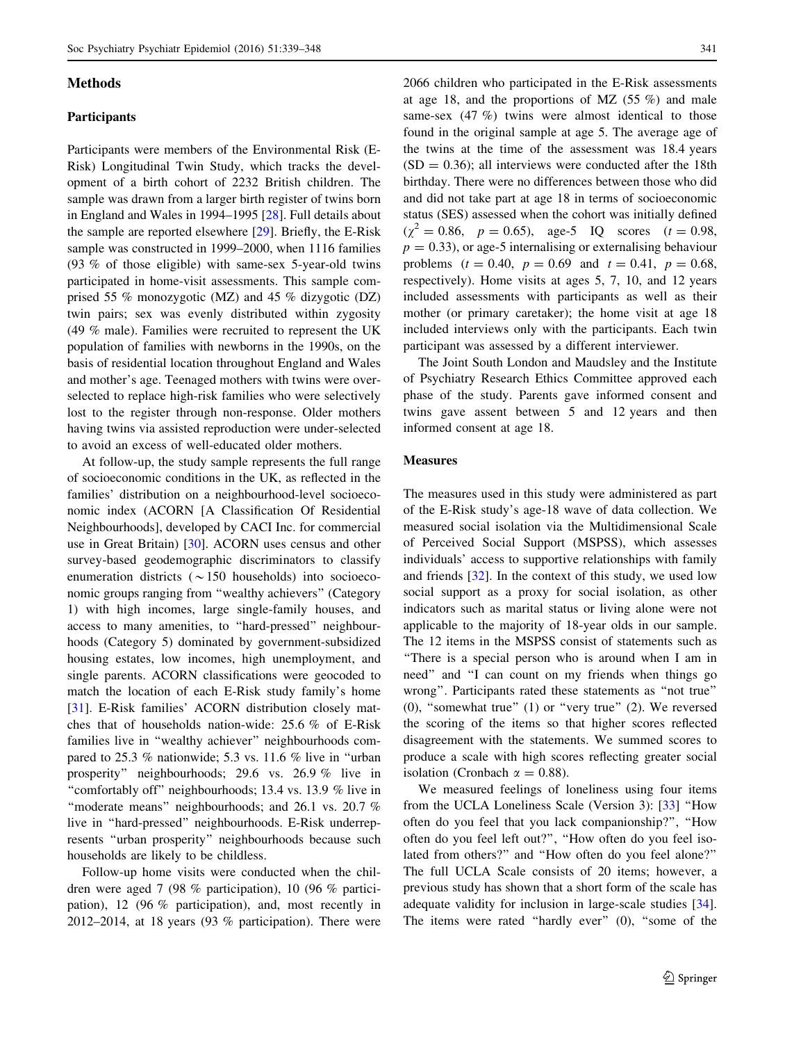#### Methods

#### **Participants**

Participants were members of the Environmental Risk (E-Risk) Longitudinal Twin Study, which tracks the development of a birth cohort of 2232 British children. The sample was drawn from a larger birth register of twins born in England and Wales in 1994–1995 [[28\]](#page-8-0). Full details about the sample are reported elsewhere [[29\]](#page-8-0). Briefly, the E-Risk sample was constructed in 1999–2000, when 1116 families (93 % of those eligible) with same-sex 5-year-old twins participated in home-visit assessments. This sample comprised 55 % monozygotic (MZ) and 45 % dizygotic (DZ) twin pairs; sex was evenly distributed within zygosity (49 % male). Families were recruited to represent the UK population of families with newborns in the 1990s, on the basis of residential location throughout England and Wales and mother's age. Teenaged mothers with twins were overselected to replace high-risk families who were selectively lost to the register through non-response. Older mothers having twins via assisted reproduction were under-selected to avoid an excess of well-educated older mothers.

At follow-up, the study sample represents the full range of socioeconomic conditions in the UK, as reflected in the families' distribution on a neighbourhood-level socioeconomic index (ACORN [A Classification Of Residential Neighbourhoods], developed by CACI Inc. for commercial use in Great Britain) [[30\]](#page-8-0). ACORN uses census and other survey-based geodemographic discriminators to classify enumeration districts ( $\sim$ 150 households) into socioeconomic groups ranging from ''wealthy achievers'' (Category 1) with high incomes, large single-family houses, and access to many amenities, to ''hard-pressed'' neighbourhoods (Category 5) dominated by government-subsidized housing estates, low incomes, high unemployment, and single parents. ACORN classifications were geocoded to match the location of each E-Risk study family's home [\[31](#page-8-0)]. E-Risk families' ACORN distribution closely matches that of households nation-wide: 25.6 % of E-Risk families live in ''wealthy achiever'' neighbourhoods compared to 25.3 % nationwide; 5.3 vs. 11.6 % live in ''urban prosperity'' neighbourhoods; 29.6 vs. 26.9 % live in "comfortably off" neighbourhoods; 13.4 vs. 13.9 % live in "moderate means" neighbourhoods; and 26.1 vs. 20.7 % live in ''hard-pressed'' neighbourhoods. E-Risk underrepresents ''urban prosperity'' neighbourhoods because such households are likely to be childless.

Follow-up home visits were conducted when the children were aged 7 (98 % participation), 10 (96 % participation), 12 (96 % participation), and, most recently in 2012–2014, at 18 years (93 % participation). There were

2066 children who participated in the E-Risk assessments at age 18, and the proportions of MZ (55 %) and male same-sex (47 %) twins were almost identical to those found in the original sample at age 5. The average age of the twins at the time of the assessment was 18.4 years  $(SD = 0.36)$ ; all interviews were conducted after the 18th birthday. There were no differences between those who did and did not take part at age 18 in terms of socioeconomic status (SES) assessed when the cohort was initially defined  $(\chi^2 = 0.86, p = 0.65)$ , age-5 IQ scores  $(t = 0.98,$  $p = 0.33$ , or age-5 internalising or externalising behaviour problems  $(t = 0.40, p = 0.69$  and  $t = 0.41, p = 0.68$ , respectively). Home visits at ages 5, 7, 10, and 12 years included assessments with participants as well as their mother (or primary caretaker); the home visit at age 18 included interviews only with the participants. Each twin participant was assessed by a different interviewer.

The Joint South London and Maudsley and the Institute of Psychiatry Research Ethics Committee approved each phase of the study. Parents gave informed consent and twins gave assent between 5 and 12 years and then informed consent at age 18.

## Measures

The measures used in this study were administered as part of the E-Risk study's age-18 wave of data collection. We measured social isolation via the Multidimensional Scale of Perceived Social Support (MSPSS), which assesses individuals' access to supportive relationships with family and friends [[32\]](#page-8-0). In the context of this study, we used low social support as a proxy for social isolation, as other indicators such as marital status or living alone were not applicable to the majority of 18-year olds in our sample. The 12 items in the MSPSS consist of statements such as ''There is a special person who is around when I am in need'' and ''I can count on my friends when things go wrong''. Participants rated these statements as ''not true''  $(0)$ , "somewhat true"  $(1)$  or "very true"  $(2)$ . We reversed the scoring of the items so that higher scores reflected disagreement with the statements. We summed scores to produce a scale with high scores reflecting greater social isolation (Cronbach  $\alpha = 0.88$ ).

We measured feelings of loneliness using four items from the UCLA Loneliness Scale (Version 3): [[33\]](#page-8-0) ''How often do you feel that you lack companionship?'', ''How often do you feel left out?'', ''How often do you feel isolated from others?'' and ''How often do you feel alone?'' The full UCLA Scale consists of 20 items; however, a previous study has shown that a short form of the scale has adequate validity for inclusion in large-scale studies [\[34](#page-8-0)]. The items were rated ''hardly ever'' (0), ''some of the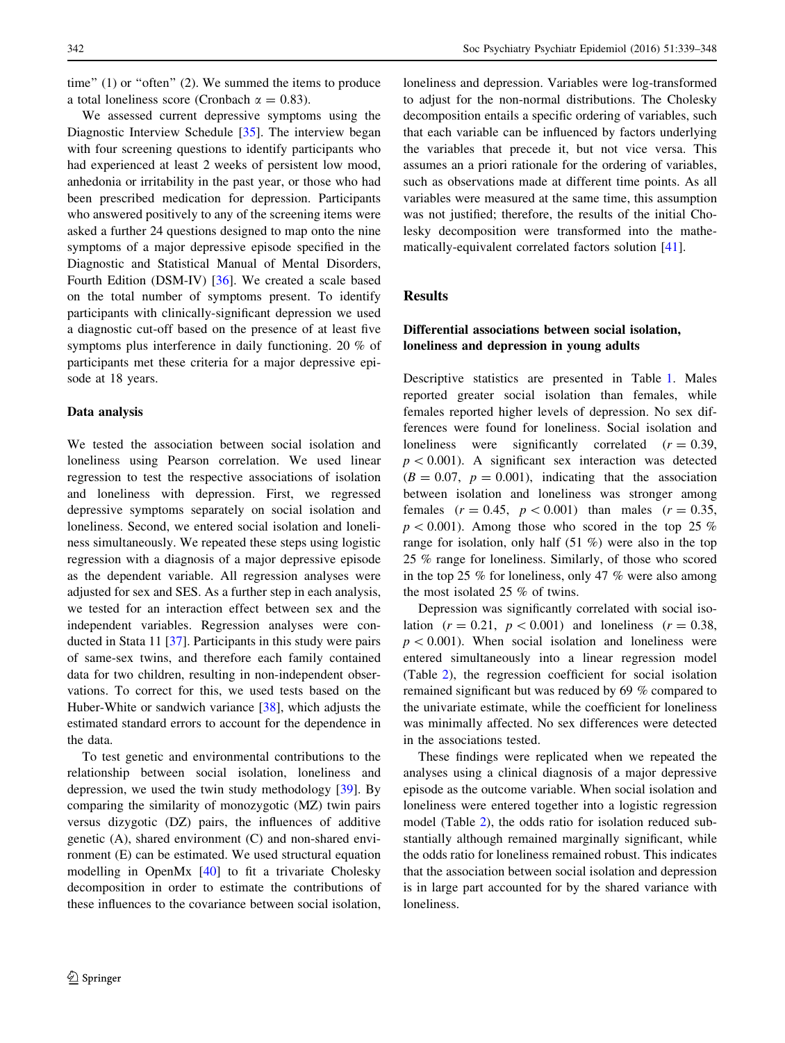time'' (1) or ''often'' (2). We summed the items to produce a total loneliness score (Cronbach  $\alpha = 0.83$ ).

We assessed current depressive symptoms using the Diagnostic Interview Schedule [\[35](#page-8-0)]. The interview began with four screening questions to identify participants who had experienced at least 2 weeks of persistent low mood, anhedonia or irritability in the past year, or those who had been prescribed medication for depression. Participants who answered positively to any of the screening items were asked a further 24 questions designed to map onto the nine symptoms of a major depressive episode specified in the Diagnostic and Statistical Manual of Mental Disorders, Fourth Edition (DSM-IV) [[36\]](#page-8-0). We created a scale based on the total number of symptoms present. To identify participants with clinically-significant depression we used a diagnostic cut-off based on the presence of at least five symptoms plus interference in daily functioning. 20 % of participants met these criteria for a major depressive episode at 18 years.

#### Data analysis

We tested the association between social isolation and loneliness using Pearson correlation. We used linear regression to test the respective associations of isolation and loneliness with depression. First, we regressed depressive symptoms separately on social isolation and loneliness. Second, we entered social isolation and loneliness simultaneously. We repeated these steps using logistic regression with a diagnosis of a major depressive episode as the dependent variable. All regression analyses were adjusted for sex and SES. As a further step in each analysis, we tested for an interaction effect between sex and the independent variables. Regression analyses were conducted in Stata 11 [[37\]](#page-8-0). Participants in this study were pairs of same-sex twins, and therefore each family contained data for two children, resulting in non-independent observations. To correct for this, we used tests based on the Huber-White or sandwich variance [[38\]](#page-8-0), which adjusts the estimated standard errors to account for the dependence in the data.

To test genetic and environmental contributions to the relationship between social isolation, loneliness and depression, we used the twin study methodology [\[39](#page-8-0)]. By comparing the similarity of monozygotic (MZ) twin pairs versus dizygotic (DZ) pairs, the influences of additive genetic (A), shared environment (C) and non-shared environment (E) can be estimated. We used structural equation modelling in OpenMx [\[40](#page-8-0)] to fit a trivariate Cholesky decomposition in order to estimate the contributions of these influences to the covariance between social isolation, loneliness and depression. Variables were log-transformed to adjust for the non-normal distributions. The Cholesky decomposition entails a specific ordering of variables, such that each variable can be influenced by factors underlying the variables that precede it, but not vice versa. This assumes an a priori rationale for the ordering of variables, such as observations made at different time points. As all variables were measured at the same time, this assumption was not justified; therefore, the results of the initial Cholesky decomposition were transformed into the mathematically-equivalent correlated factors solution [[41\]](#page-8-0).

## **Results**

## Differential associations between social isolation, loneliness and depression in young adults

Descriptive statistics are presented in Table [1.](#page-4-0) Males reported greater social isolation than females, while females reported higher levels of depression. No sex differences were found for loneliness. Social isolation and loneliness were significantly correlated  $(r = 0.39)$ ,  $p < 0.001$ ). A significant sex interaction was detected  $(B = 0.07, p = 0.001)$ , indicating that the association between isolation and loneliness was stronger among females  $(r = 0.45, p < 0.001)$  than males  $(r = 0.35,$  $p<0.001$ ). Among those who scored in the top 25 % range for isolation, only half (51 %) were also in the top 25 % range for loneliness. Similarly, of those who scored in the top 25 % for loneliness, only 47 % were also among the most isolated 25 % of twins.

Depression was significantly correlated with social isolation  $(r = 0.21, p < 0.001)$  and loneliness  $(r = 0.38,$  $p\lt 0.001$ ). When social isolation and loneliness were entered simultaneously into a linear regression model (Table [2\)](#page-4-0), the regression coefficient for social isolation remained significant but was reduced by 69 % compared to the univariate estimate, while the coefficient for loneliness was minimally affected. No sex differences were detected in the associations tested.

These findings were replicated when we repeated the analyses using a clinical diagnosis of a major depressive episode as the outcome variable. When social isolation and loneliness were entered together into a logistic regression model (Table [2](#page-4-0)), the odds ratio for isolation reduced substantially although remained marginally significant, while the odds ratio for loneliness remained robust. This indicates that the association between social isolation and depression is in large part accounted for by the shared variance with loneliness.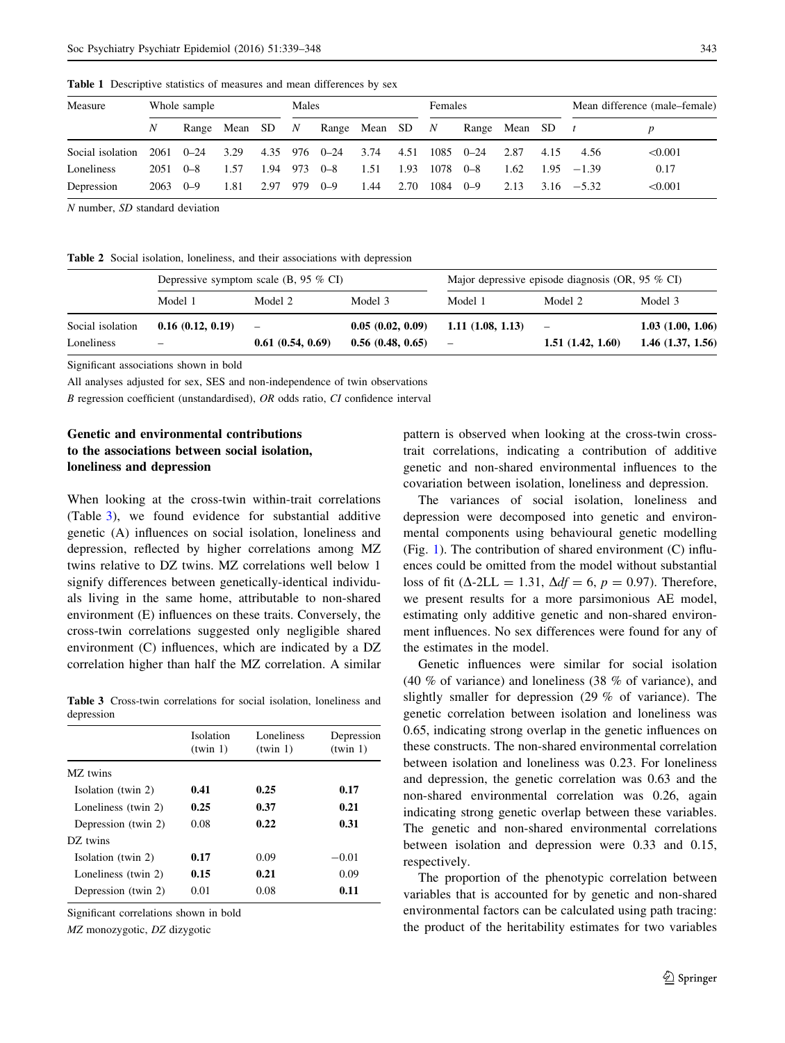<span id="page-4-0"></span>Table 1 Descriptive statistics of measures and mean differences by sex

| Measure          | Whole sample |          |                   |      | Males |                   |      | Females |            |         |               | Mean difference (male–female) |               |         |
|------------------|--------------|----------|-------------------|------|-------|-------------------|------|---------|------------|---------|---------------|-------------------------------|---------------|---------|
|                  | Ν            |          | Range Mean $SD$ N |      |       | Range Mean $SD$ N |      |         |            |         | Range Mean SD |                               | $\frac{t}{t}$ |         |
| Social isolation | 2061         | $0 - 24$ | 3.29              |      |       | 4.35 976 0-24     | 3.74 | 4.51    | 1085 0-24  |         | 2.87          | 4.15                          | - 4.56        | < 0.001 |
| Loneliness       | 2051         | $0 - 8$  | 1.57              | 1.94 | 973   | $0 - 8$           | 1.51 | 1.93    | $1078$ 0-8 |         | 1.62          |                               | $1.95 - 1.39$ | 0.17    |
| Depression       | 2063         | $0 - 9$  | 1.81              | 2.97 | 979   | $0 - 9$           | 1.44 | 2.70    | 1084       | $0 - 9$ | 2.13          |                               | $3.16 - 5.32$ | < 0.001 |

N number, SD standard deviation

Table 2 Social isolation, loneliness, and their associations with depression

|                  |                  | Depressive symptom scale $(B, 95\% \text{ CI})$ |                  | Major depressive episode diagnosis (OR, 95 % CI) |                  |                       |  |  |
|------------------|------------------|-------------------------------------------------|------------------|--------------------------------------------------|------------------|-----------------------|--|--|
|                  | Model 1          | Model 2                                         | Model 3          | Model 1                                          | Model 2          | Model 3               |  |  |
| Social isolation | 0.16(0.12, 0.19) | $\overline{\phantom{0}}$                        | 0.05(0.02, 0.09) | 1.11(1.08, 1.13)                                 |                  | 1.03(1.00, 1.06)      |  |  |
| Loneliness       | -                | 0.61(0.54, 0.69)                                | 0.56(0.48, 0.65) | -                                                | 1.51(1.42, 1.60) | $1.46$ $(1.37, 1.56)$ |  |  |

Significant associations shown in bold

All analyses adjusted for sex, SES and non-independence of twin observations

B regression coefficient (unstandardised), OR odds ratio, CI confidence interval

## Genetic and environmental contributions to the associations between social isolation, loneliness and depression

When looking at the cross-twin within-trait correlations (Table 3), we found evidence for substantial additive genetic (A) influences on social isolation, loneliness and depression, reflected by higher correlations among MZ twins relative to DZ twins. MZ correlations well below 1 signify differences between genetically-identical individuals living in the same home, attributable to non-shared environment (E) influences on these traits. Conversely, the cross-twin correlations suggested only negligible shared environment (C) influences, which are indicated by a DZ correlation higher than half the MZ correlation. A similar

Table 3 Cross-twin correlations for social isolation, loneliness and depression

|                     | Isolation<br>(twin 1) | Loneliness<br>(twin 1) | Depression<br>(twin 1) |
|---------------------|-----------------------|------------------------|------------------------|
| MZ twins            |                       |                        |                        |
| Isolation (twin 2)  | 0.41                  | 0.25                   | 0.17                   |
| Loneliness (twin 2) | 0.25                  | 0.37                   | 0.21                   |
| Depression (twin 2) | 0.08                  | 0.22                   | 0.31                   |
| DZ twins            |                       |                        |                        |
| Isolation (twin 2)  | 0.17                  | 0.09                   | $-0.01$                |
| Loneliness (twin 2) | 0.15                  | 0.21                   | 0.09                   |
| Depression (twin 2) | 0.01                  | 0.08                   | 0.11                   |

Significant correlations shown in bold

MZ monozygotic, DZ dizygotic

pattern is observed when looking at the cross-twin crosstrait correlations, indicating a contribution of additive genetic and non-shared environmental influences to the covariation between isolation, loneliness and depression.

The variances of social isolation, loneliness and depression were decomposed into genetic and environmental components using behavioural genetic modelling (Fig. [1\)](#page-5-0). The contribution of shared environment (C) influences could be omitted from the model without substantial loss of fit ( $\Delta$ -2LL = 1.31,  $\Delta df = 6$ ,  $p = 0.97$ ). Therefore, we present results for a more parsimonious AE model, estimating only additive genetic and non-shared environment influences. No sex differences were found for any of the estimates in the model.

Genetic influences were similar for social isolation (40 % of variance) and loneliness (38 % of variance), and slightly smaller for depression (29 % of variance). The genetic correlation between isolation and loneliness was 0.65, indicating strong overlap in the genetic influences on these constructs. The non-shared environmental correlation between isolation and loneliness was 0.23. For loneliness and depression, the genetic correlation was 0.63 and the non-shared environmental correlation was 0.26, again indicating strong genetic overlap between these variables. The genetic and non-shared environmental correlations between isolation and depression were 0.33 and 0.15, respectively.

The proportion of the phenotypic correlation between variables that is accounted for by genetic and non-shared environmental factors can be calculated using path tracing: the product of the heritability estimates for two variables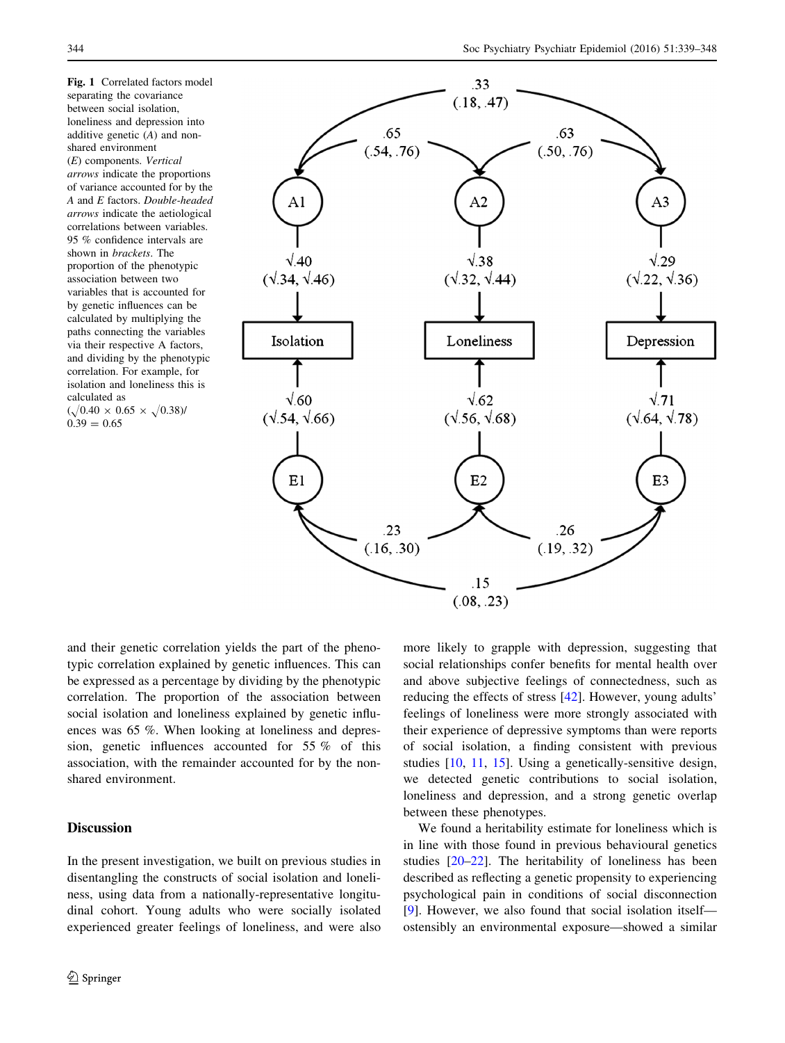<span id="page-5-0"></span>Fig. 1 Correlated factors model separating the covariance between social isolation, loneliness and depression into additive genetic (A) and nonshared environment (E) components. Vertical arrows indicate the proportions of variance accounted for by the A and E factors. Double-headed

arrows indicate the aetiological correlations between variables. 95 % confidence intervals are shown in brackets. The proportion of the phenotypic association between two variables that is accounted for by genetic influences can be calculated by multiplying the paths connecting the variables via their respective A factors, and dividing by the phenotypic correlation. For example, for isolation and loneliness this is calculated as

 $(\sqrt{0.40 \times 0.65 \times \sqrt{0.38}})$  $0.39 = 0.65$ 



and their genetic correlation yields the part of the phenotypic correlation explained by genetic influences. This can be expressed as a percentage by dividing by the phenotypic correlation. The proportion of the association between social isolation and loneliness explained by genetic influences was 65 %. When looking at loneliness and depression, genetic influences accounted for 55 % of this association, with the remainder accounted for by the nonshared environment.

## Discussion

In the present investigation, we built on previous studies in disentangling the constructs of social isolation and loneliness, using data from a nationally-representative longitudinal cohort. Young adults who were socially isolated experienced greater feelings of loneliness, and were also

more likely to grapple with depression, suggesting that social relationships confer benefits for mental health over and above subjective feelings of connectedness, such as reducing the effects of stress [\[42](#page-8-0)]. However, young adults' feelings of loneliness were more strongly associated with their experience of depressive symptoms than were reports of social isolation, a finding consistent with previous studies [\[10](#page-8-0), [11](#page-8-0), [15\]](#page-8-0). Using a genetically-sensitive design, we detected genetic contributions to social isolation, loneliness and depression, and a strong genetic overlap between these phenotypes.

We found a heritability estimate for loneliness which is in line with those found in previous behavioural genetics studies [\[20–22](#page-8-0)]. The heritability of loneliness has been described as reflecting a genetic propensity to experiencing psychological pain in conditions of social disconnection [\[9](#page-8-0)]. However, we also found that social isolation itself ostensibly an environmental exposure—showed a similar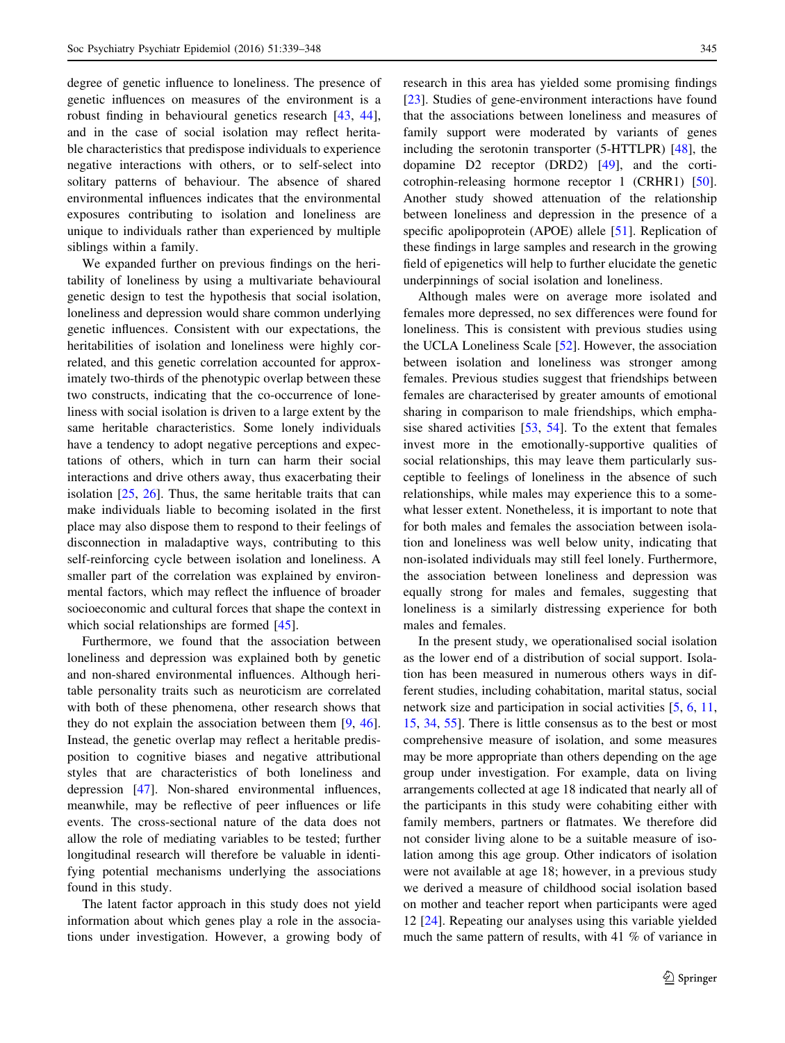degree of genetic influence to loneliness. The presence of genetic influences on measures of the environment is a robust finding in behavioural genetics research [\[43](#page-8-0), [44](#page-8-0)], and in the case of social isolation may reflect heritable characteristics that predispose individuals to experience negative interactions with others, or to self-select into solitary patterns of behaviour. The absence of shared environmental influences indicates that the environmental exposures contributing to isolation and loneliness are unique to individuals rather than experienced by multiple siblings within a family.

We expanded further on previous findings on the heritability of loneliness by using a multivariate behavioural genetic design to test the hypothesis that social isolation, loneliness and depression would share common underlying genetic influences. Consistent with our expectations, the heritabilities of isolation and loneliness were highly correlated, and this genetic correlation accounted for approximately two-thirds of the phenotypic overlap between these two constructs, indicating that the co-occurrence of loneliness with social isolation is driven to a large extent by the same heritable characteristics. Some lonely individuals have a tendency to adopt negative perceptions and expectations of others, which in turn can harm their social interactions and drive others away, thus exacerbating their isolation  $[25, 26]$  $[25, 26]$  $[25, 26]$ . Thus, the same heritable traits that can make individuals liable to becoming isolated in the first place may also dispose them to respond to their feelings of disconnection in maladaptive ways, contributing to this self-reinforcing cycle between isolation and loneliness. A smaller part of the correlation was explained by environmental factors, which may reflect the influence of broader socioeconomic and cultural forces that shape the context in which social relationships are formed  $[45]$  $[45]$ .

Furthermore, we found that the association between loneliness and depression was explained both by genetic and non-shared environmental influences. Although heritable personality traits such as neuroticism are correlated with both of these phenomena, other research shows that they do not explain the association between them [\[9](#page-8-0), [46](#page-8-0)]. Instead, the genetic overlap may reflect a heritable predisposition to cognitive biases and negative attributional styles that are characteristics of both loneliness and depression [\[47](#page-8-0)]. Non-shared environmental influences, meanwhile, may be reflective of peer influences or life events. The cross-sectional nature of the data does not allow the role of mediating variables to be tested; further longitudinal research will therefore be valuable in identifying potential mechanisms underlying the associations found in this study.

The latent factor approach in this study does not yield information about which genes play a role in the associations under investigation. However, a growing body of research in this area has yielded some promising findings [\[23](#page-8-0)]. Studies of gene-environment interactions have found that the associations between loneliness and measures of family support were moderated by variants of genes including the serotonin transporter (5-HTTLPR) [\[48](#page-8-0)], the dopamine D2 receptor (DRD2) [\[49](#page-9-0)], and the corticotrophin-releasing hormone receptor 1 (CRHR1) [\[50](#page-9-0)]. Another study showed attenuation of the relationship between loneliness and depression in the presence of a specific apolipoprotein (APOE) allele [[51\]](#page-9-0). Replication of these findings in large samples and research in the growing field of epigenetics will help to further elucidate the genetic underpinnings of social isolation and loneliness.

Although males were on average more isolated and females more depressed, no sex differences were found for loneliness. This is consistent with previous studies using the UCLA Loneliness Scale [[52\]](#page-9-0). However, the association between isolation and loneliness was stronger among females. Previous studies suggest that friendships between females are characterised by greater amounts of emotional sharing in comparison to male friendships, which emphasise shared activities [\[53](#page-9-0), [54\]](#page-9-0). To the extent that females invest more in the emotionally-supportive qualities of social relationships, this may leave them particularly susceptible to feelings of loneliness in the absence of such relationships, while males may experience this to a somewhat lesser extent. Nonetheless, it is important to note that for both males and females the association between isolation and loneliness was well below unity, indicating that non-isolated individuals may still feel lonely. Furthermore, the association between loneliness and depression was equally strong for males and females, suggesting that loneliness is a similarly distressing experience for both males and females.

In the present study, we operationalised social isolation as the lower end of a distribution of social support. Isolation has been measured in numerous others ways in different studies, including cohabitation, marital status, social network size and participation in social activities [[5,](#page-7-0) [6](#page-7-0), [11,](#page-8-0) [15](#page-8-0), [34,](#page-8-0) [55](#page-9-0)]. There is little consensus as to the best or most comprehensive measure of isolation, and some measures may be more appropriate than others depending on the age group under investigation. For example, data on living arrangements collected at age 18 indicated that nearly all of the participants in this study were cohabiting either with family members, partners or flatmates. We therefore did not consider living alone to be a suitable measure of isolation among this age group. Other indicators of isolation were not available at age 18; however, in a previous study we derived a measure of childhood social isolation based on mother and teacher report when participants were aged 12 [\[24](#page-8-0)]. Repeating our analyses using this variable yielded much the same pattern of results, with 41 % of variance in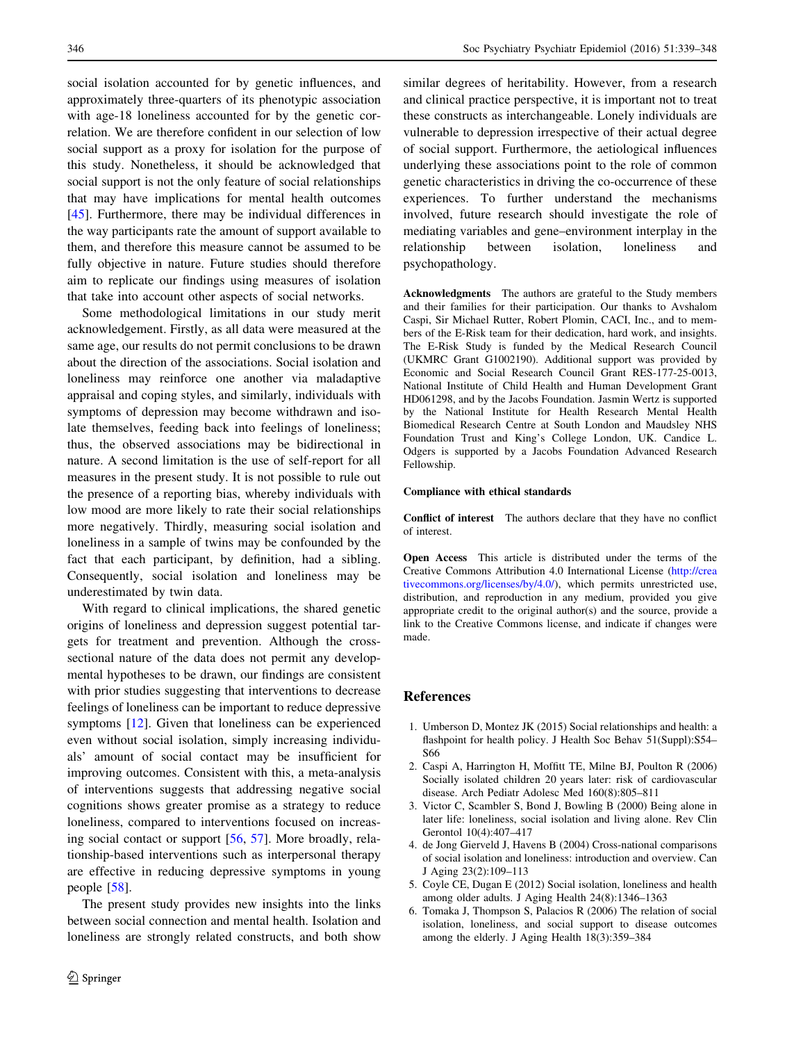<span id="page-7-0"></span>social isolation accounted for by genetic influences, and approximately three-quarters of its phenotypic association with age-18 loneliness accounted for by the genetic correlation. We are therefore confident in our selection of low social support as a proxy for isolation for the purpose of this study. Nonetheless, it should be acknowledged that social support is not the only feature of social relationships that may have implications for mental health outcomes [\[45](#page-8-0)]. Furthermore, there may be individual differences in the way participants rate the amount of support available to them, and therefore this measure cannot be assumed to be fully objective in nature. Future studies should therefore aim to replicate our findings using measures of isolation that take into account other aspects of social networks.

Some methodological limitations in our study merit acknowledgement. Firstly, as all data were measured at the same age, our results do not permit conclusions to be drawn about the direction of the associations. Social isolation and loneliness may reinforce one another via maladaptive appraisal and coping styles, and similarly, individuals with symptoms of depression may become withdrawn and isolate themselves, feeding back into feelings of loneliness; thus, the observed associations may be bidirectional in nature. A second limitation is the use of self-report for all measures in the present study. It is not possible to rule out the presence of a reporting bias, whereby individuals with low mood are more likely to rate their social relationships more negatively. Thirdly, measuring social isolation and loneliness in a sample of twins may be confounded by the fact that each participant, by definition, had a sibling. Consequently, social isolation and loneliness may be underestimated by twin data.

With regard to clinical implications, the shared genetic origins of loneliness and depression suggest potential targets for treatment and prevention. Although the crosssectional nature of the data does not permit any developmental hypotheses to be drawn, our findings are consistent with prior studies suggesting that interventions to decrease feelings of loneliness can be important to reduce depressive symptoms [\[12](#page-8-0)]. Given that loneliness can be experienced even without social isolation, simply increasing individuals' amount of social contact may be insufficient for improving outcomes. Consistent with this, a meta-analysis of interventions suggests that addressing negative social cognitions shows greater promise as a strategy to reduce loneliness, compared to interventions focused on increasing social contact or support [\[56](#page-9-0), [57](#page-9-0)]. More broadly, relationship-based interventions such as interpersonal therapy are effective in reducing depressive symptoms in young people [\[58](#page-9-0)].

The present study provides new insights into the links between social connection and mental health. Isolation and loneliness are strongly related constructs, and both show similar degrees of heritability. However, from a research and clinical practice perspective, it is important not to treat these constructs as interchangeable. Lonely individuals are vulnerable to depression irrespective of their actual degree of social support. Furthermore, the aetiological influences underlying these associations point to the role of common genetic characteristics in driving the co-occurrence of these experiences. To further understand the mechanisms involved, future research should investigate the role of mediating variables and gene–environment interplay in the relationship between isolation, loneliness and psychopathology.

Acknowledgments The authors are grateful to the Study members and their families for their participation. Our thanks to Avshalom Caspi, Sir Michael Rutter, Robert Plomin, CACI, Inc., and to members of the E-Risk team for their dedication, hard work, and insights. The E-Risk Study is funded by the Medical Research Council (UKMRC Grant G1002190). Additional support was provided by Economic and Social Research Council Grant RES-177-25-0013, National Institute of Child Health and Human Development Grant HD061298, and by the Jacobs Foundation. Jasmin Wertz is supported by the National Institute for Health Research Mental Health Biomedical Research Centre at South London and Maudsley NHS Foundation Trust and King's College London, UK. Candice L. Odgers is supported by a Jacobs Foundation Advanced Research Fellowship.

#### Compliance with ethical standards

Conflict of interest The authors declare that they have no conflict of interest.

Open Access This article is distributed under the terms of the Creative Commons Attribution 4.0 International License ([http://crea](http://creativecommons.org/licenses/by/4.0/) [tivecommons.org/licenses/by/4.0/\)](http://creativecommons.org/licenses/by/4.0/), which permits unrestricted use, distribution, and reproduction in any medium, provided you give appropriate credit to the original author(s) and the source, provide a link to the Creative Commons license, and indicate if changes were made.

### References

- 1. Umberson D, Montez JK (2015) Social relationships and health: a flashpoint for health policy. J Health Soc Behav 51(Suppl):S54– S66
- 2. Caspi A, Harrington H, Moffitt TE, Milne BJ, Poulton R (2006) Socially isolated children 20 years later: risk of cardiovascular disease. Arch Pediatr Adolesc Med 160(8):805–811
- 3. Victor C, Scambler S, Bond J, Bowling B (2000) Being alone in later life: loneliness, social isolation and living alone. Rev Clin Gerontol 10(4):407–417
- 4. de Jong Gierveld J, Havens B (2004) Cross-national comparisons of social isolation and loneliness: introduction and overview. Can J Aging 23(2):109–113
- 5. Coyle CE, Dugan E (2012) Social isolation, loneliness and health among older adults. J Aging Health 24(8):1346–1363
- 6. Tomaka J, Thompson S, Palacios R (2006) The relation of social isolation, loneliness, and social support to disease outcomes among the elderly. J Aging Health 18(3):359–384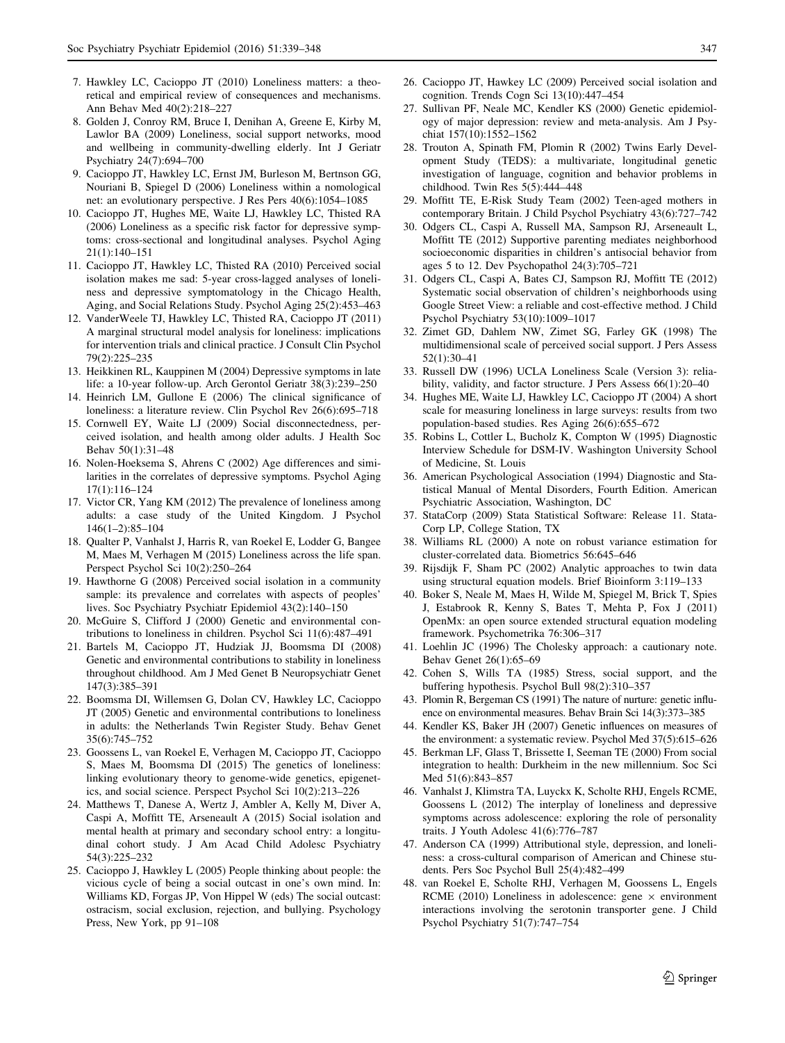- <span id="page-8-0"></span>7. Hawkley LC, Cacioppo JT (2010) Loneliness matters: a theoretical and empirical review of consequences and mechanisms. Ann Behav Med 40(2):218–227
- 8. Golden J, Conroy RM, Bruce I, Denihan A, Greene E, Kirby M, Lawlor BA (2009) Loneliness, social support networks, mood and wellbeing in community-dwelling elderly. Int J Geriatr Psychiatry 24(7):694–700
- 9. Cacioppo JT, Hawkley LC, Ernst JM, Burleson M, Bertnson GG, Nouriani B, Spiegel D (2006) Loneliness within a nomological net: an evolutionary perspective. J Res Pers 40(6):1054–1085
- 10. Cacioppo JT, Hughes ME, Waite LJ, Hawkley LC, Thisted RA (2006) Loneliness as a specific risk factor for depressive symptoms: cross-sectional and longitudinal analyses. Psychol Aging 21(1):140–151
- 11. Cacioppo JT, Hawkley LC, Thisted RA (2010) Perceived social isolation makes me sad: 5-year cross-lagged analyses of loneliness and depressive symptomatology in the Chicago Health, Aging, and Social Relations Study. Psychol Aging 25(2):453–463
- 12. VanderWeele TJ, Hawkley LC, Thisted RA, Cacioppo JT (2011) A marginal structural model analysis for loneliness: implications for intervention trials and clinical practice. J Consult Clin Psychol 79(2):225–235
- 13. Heikkinen RL, Kauppinen M (2004) Depressive symptoms in late life: a 10-year follow-up. Arch Gerontol Geriatr 38(3):239–250
- 14. Heinrich LM, Gullone E (2006) The clinical significance of loneliness: a literature review. Clin Psychol Rev 26(6):695–718
- 15. Cornwell EY, Waite LJ (2009) Social disconnectedness, perceived isolation, and health among older adults. J Health Soc Behav 50(1):31–48
- 16. Nolen-Hoeksema S, Ahrens C (2002) Age differences and similarities in the correlates of depressive symptoms. Psychol Aging 17(1):116–124
- 17. Victor CR, Yang KM (2012) The prevalence of loneliness among adults: a case study of the United Kingdom. J Psychol 146(1–2):85–104
- 18. Qualter P, Vanhalst J, Harris R, van Roekel E, Lodder G, Bangee M, Maes M, Verhagen M (2015) Loneliness across the life span. Perspect Psychol Sci 10(2):250–264
- 19. Hawthorne G (2008) Perceived social isolation in a community sample: its prevalence and correlates with aspects of peoples' lives. Soc Psychiatry Psychiatr Epidemiol 43(2):140–150
- 20. McGuire S, Clifford J (2000) Genetic and environmental contributions to loneliness in children. Psychol Sci 11(6):487–491
- 21. Bartels M, Cacioppo JT, Hudziak JJ, Boomsma DI (2008) Genetic and environmental contributions to stability in loneliness throughout childhood. Am J Med Genet B Neuropsychiatr Genet 147(3):385–391
- 22. Boomsma DI, Willemsen G, Dolan CV, Hawkley LC, Cacioppo JT (2005) Genetic and environmental contributions to loneliness in adults: the Netherlands Twin Register Study. Behav Genet 35(6):745–752
- 23. Goossens L, van Roekel E, Verhagen M, Cacioppo JT, Cacioppo S, Maes M, Boomsma DI (2015) The genetics of loneliness: linking evolutionary theory to genome-wide genetics, epigenetics, and social science. Perspect Psychol Sci 10(2):213–226
- 24. Matthews T, Danese A, Wertz J, Ambler A, Kelly M, Diver A, Caspi A, Moffitt TE, Arseneault A (2015) Social isolation and mental health at primary and secondary school entry: a longitudinal cohort study. J Am Acad Child Adolesc Psychiatry 54(3):225–232
- 25. Cacioppo J, Hawkley L (2005) People thinking about people: the vicious cycle of being a social outcast in one's own mind. In: Williams KD, Forgas JP, Von Hippel W (eds) The social outcast: ostracism, social exclusion, rejection, and bullying. Psychology Press, New York, pp 91–108
- 26. Cacioppo JT, Hawkey LC (2009) Perceived social isolation and cognition. Trends Cogn Sci 13(10):447–454
- 27. Sullivan PF, Neale MC, Kendler KS (2000) Genetic epidemiology of major depression: review and meta-analysis. Am J Psychiat 157(10):1552–1562
- 28. Trouton A, Spinath FM, Plomin R (2002) Twins Early Development Study (TEDS): a multivariate, longitudinal genetic investigation of language, cognition and behavior problems in childhood. Twin Res 5(5):444–448
- 29. Moffitt TE, E-Risk Study Team (2002) Teen-aged mothers in contemporary Britain. J Child Psychol Psychiatry 43(6):727–742
- 30. Odgers CL, Caspi A, Russell MA, Sampson RJ, Arseneault L, Moffitt TE (2012) Supportive parenting mediates neighborhood socioeconomic disparities in children's antisocial behavior from ages 5 to 12. Dev Psychopathol 24(3):705–721
- 31. Odgers CL, Caspi A, Bates CJ, Sampson RJ, Moffitt TE (2012) Systematic social observation of children's neighborhoods using Google Street View: a reliable and cost-effective method. J Child Psychol Psychiatry 53(10):1009–1017
- 32. Zimet GD, Dahlem NW, Zimet SG, Farley GK (1998) The multidimensional scale of perceived social support. J Pers Assess 52(1):30–41
- 33. Russell DW (1996) UCLA Loneliness Scale (Version 3): reliability, validity, and factor structure. J Pers Assess 66(1):20–40
- 34. Hughes ME, Waite LJ, Hawkley LC, Cacioppo JT (2004) A short scale for measuring loneliness in large surveys: results from two population-based studies. Res Aging 26(6):655–672
- 35. Robins L, Cottler L, Bucholz K, Compton W (1995) Diagnostic Interview Schedule for DSM-IV. Washington University School of Medicine, St. Louis
- 36. American Psychological Association (1994) Diagnostic and Statistical Manual of Mental Disorders, Fourth Edition. American Psychiatric Association, Washington, DC
- 37. StataCorp (2009) Stata Statistical Software: Release 11. Stata-Corp LP, College Station, TX
- 38. Williams RL (2000) A note on robust variance estimation for cluster-correlated data. Biometrics 56:645–646
- 39. Rijsdijk F, Sham PC (2002) Analytic approaches to twin data using structural equation models. Brief Bioinform 3:119–133
- 40. Boker S, Neale M, Maes H, Wilde M, Spiegel M, Brick T, Spies J, Estabrook R, Kenny S, Bates T, Mehta P, Fox J (2011) OpenMx: an open source extended structural equation modeling framework. Psychometrika 76:306–317
- 41. Loehlin JC (1996) The Cholesky approach: a cautionary note. Behav Genet 26(1):65–69
- 42. Cohen S, Wills TA (1985) Stress, social support, and the buffering hypothesis. Psychol Bull 98(2):310–357
- 43. Plomin R, Bergeman CS (1991) The nature of nurture: genetic influence on environmental measures. Behav Brain Sci 14(3):373–385
- 44. Kendler KS, Baker JH (2007) Genetic influences on measures of the environment: a systematic review. Psychol Med 37(5):615–626
- 45. Berkman LF, Glass T, Brissette I, Seeman TE (2000) From social integration to health: Durkheim in the new millennium. Soc Sci Med 51(6):843–857
- 46. Vanhalst J, Klimstra TA, Luyckx K, Scholte RHJ, Engels RCME, Goossens L (2012) The interplay of loneliness and depressive symptoms across adolescence: exploring the role of personality traits. J Youth Adolesc 41(6):776–787
- 47. Anderson CA (1999) Attributional style, depression, and loneliness: a cross-cultural comparison of American and Chinese students. Pers Soc Psychol Bull 25(4):482–499
- 48. van Roekel E, Scholte RHJ, Verhagen M, Goossens L, Engels RCME (2010) Loneliness in adolescence: gene  $\times$  environment interactions involving the serotonin transporter gene. J Child Psychol Psychiatry 51(7):747–754